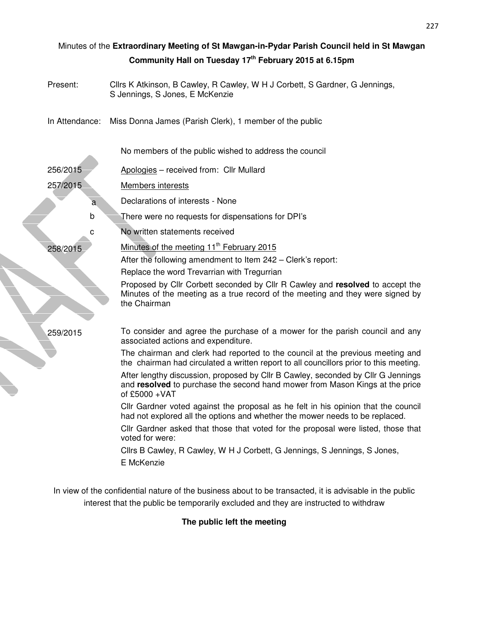| Minutes of the Extraordinary Meeting of St Mawgan-in-Pydar Parish Council held in St Mawgan |                                                                                                                                                                                    |
|---------------------------------------------------------------------------------------------|------------------------------------------------------------------------------------------------------------------------------------------------------------------------------------|
|                                                                                             | Community Hall on Tuesday 17th February 2015 at 6.15pm                                                                                                                             |
| Present:                                                                                    | Cllrs K Atkinson, B Cawley, R Cawley, W H J Corbett, S Gardner, G Jennings,<br>S Jennings, S Jones, E McKenzie                                                                     |
| In Attendance:                                                                              | Miss Donna James (Parish Clerk), 1 member of the public                                                                                                                            |
|                                                                                             | No members of the public wished to address the council                                                                                                                             |
| 256/2015                                                                                    | Apologies - received from: Cllr Mullard                                                                                                                                            |
| 257/2015                                                                                    | <b>Members interests</b>                                                                                                                                                           |
| $\overline{a}$                                                                              | Declarations of interests - None                                                                                                                                                   |
| b                                                                                           | There were no requests for dispensations for DPI's                                                                                                                                 |
| с                                                                                           | No written statements received                                                                                                                                                     |
| 258/2015                                                                                    | Minutes of the meeting 11 <sup>th</sup> February 2015                                                                                                                              |
|                                                                                             | After the following amendment to Item 242 – Clerk's report:                                                                                                                        |
|                                                                                             | Replace the word Trevarrian with Tregurrian                                                                                                                                        |
|                                                                                             | Proposed by Cllr Corbett seconded by Cllr R Cawley and resolved to accept the<br>Minutes of the meeting as a true record of the meeting and they were signed by<br>the Chairman    |
| 259/2015                                                                                    | To consider and agree the purchase of a mower for the parish council and any<br>associated actions and expenditure.                                                                |
|                                                                                             | The chairman and clerk had reported to the council at the previous meeting and<br>the chairman had circulated a written report to all councillors prior to this meeting.           |
|                                                                                             | After lengthy discussion, proposed by Cllr B Cawley, seconded by Cllr G Jennings<br>and resolved to purchase the second hand mower from Mason Kings at the price<br>of £5000 + VAT |
|                                                                                             | CIIr Gardner voted against the proposal as he felt in his opinion that the council<br>had not explored all the options and whether the mower needs to be replaced.                 |
|                                                                                             | Cllr Gardner asked that those that voted for the proposal were listed, those that<br>voted for were:                                                                               |
|                                                                                             | Cllrs B Cawley, R Cawley, W H J Corbett, G Jennings, S Jennings, S Jones,<br>E McKenzie                                                                                            |
|                                                                                             |                                                                                                                                                                                    |

▜

In view of the confidential nature of the business about to be transacted, it is advisable in the public interest that the public be temporarily excluded and they are instructed to withdraw

**The public left the meeting**